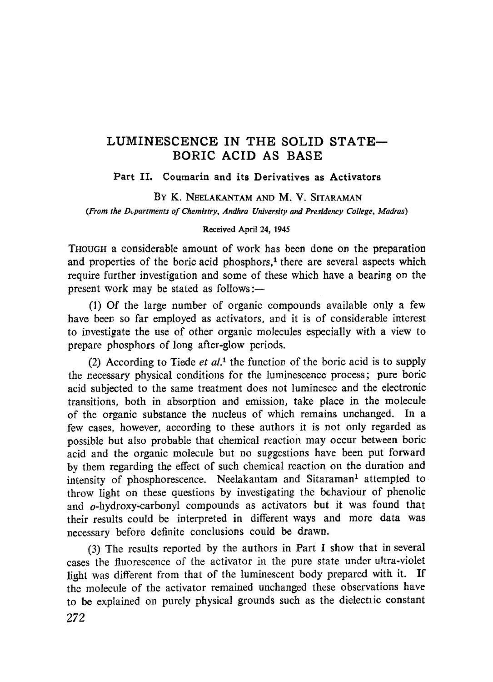## LUMINESCENCE IN THE SOLID STATE— BORIC ACID AS BASE

Part II. Coumarin and its Derivatives as Activators

BY K. NEELAKANTAM AND M. V. SITARAMAN *(From the Departments of Chemistry, Andhra University and Presidency College, Madras)*

### **Received April 24, 1945**

THOUGH a considerable amount of work has been done on the preparation and properties of the boric acid phosphors,<sup>1</sup> there are several aspects which require further investigation and some of these which have a bearing on the present work may be stated as follows :-

(l) Of the large number of organic compounds available only a few have been so far employed as activators, and it is of considerable interest to investigate the use of other organic molecules especially with a view to prepare phosphors of long after-glow periods.

(2) According to Tiede *et al.l* the function, of the boric acid is to supply the necessary physical conditions for the luminescence process; pure boric acid subjected to the same treatment does not luminesce and the electronic transitions, both in absorption and emission, take place in the molecule of the organic substance the nucleus of which remains unchanged. In a few cases, however, according to these authors it is not only regarded as possible but also probable that chemical reaction may occur between boric acid and the organic molecule but no suggestions have been put forward by them regarding the effect of such chemical reaction on the duration and intensity of phosphorescence. Neelakantam and Sitaraman<sup>1</sup> attempted to throw light on these questions by investigating the behaviour of phenolic and o-hydroxy-carbonyl compounds as activators but it was found that their results could be interpreted in different ways and more data was necessary before definite conclusions could be drawn.

(3) The results reported by the authors in Part I show that in several cases the fluorescence of the activator in the pure state under ultra-violet light was different from that of the luminescent body prepared with it. If the molecule of the activator remained unchanged these observations have to be explained on purely physical grounds such as the dielectric constant 272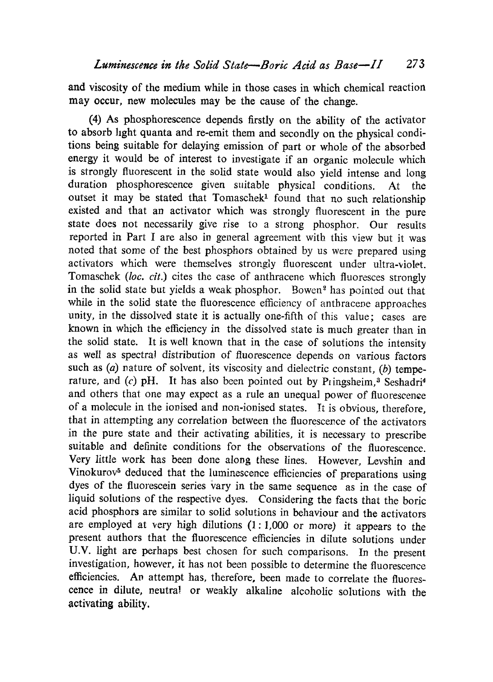and viscosity of the medium while in those cases in which chemical reaction may occur, new molecules may be the cause of the change.

(4) As phosphorescence depends firstly on the ability of the activator to absorb light quanta and re-emit them and secondly on the physical conditions being suitable for delaying emission of part or whole of the absorbed energy it would be of interest to investigate if an organic molecule which is strongly fluorescent in the solid state would also yield intense and long duration phosphorescence given suitable physical conditions. At the outset it may be stated that Tomaschek' found that no such relationship existed and that an activator which was strongly fluorescent in the pure state does not necessarily give rise to a strong phosphor. Our results reported in Part I are also in general agreement with this view but it was noted that some of the best phosphors obtained by us were prepared using activators which were themselves strongly fluorescent under ultra-violet. Tomaschek *(loc. cit.)* cites the case of anthracene which fluoresces strongly in the solid state but yields a weak phosphor. Bowen<sup>2</sup> has pointed out that while in the solid state the fluorescence efficiency of anthracene approaches unity, in the dissolved state it is actually one-fifth of this value; cases are known in which the efficiency in the dissolved state is much greater than in the solid state. It is well known that in the case of solutions the intensity as well as spectral distribution of fluorescence depends on various factors such as *(a)* nature of solvent, its viscosity and dielectric constant, *(b)* temperature, and  $(c)$  pH. It has also been pointed out by Pringsheim,<sup>3</sup> Seshadri<sup>4</sup> and others that one may expect as a rule an unequal power of fluorescence of a molecule in the ionised and non-ionised states. It is obvious, therefore, that in attempting any correlation between the fluorescence of the activators in the pure state and their activating abilities, it is necessary to prescribe suitable and definite conditions for the observations of the fluorescence. Very little work has been done along these lines. However, Levshin and Vinokurov<sup>5</sup> deduced that the luminescence efficiencies of preparations using dyes of the fluorescein series vary in the same sequence as in the case of liquid solutions of the respective dyes. Considering the facts that the boric acid phosphors are similar to solid solutions in behaviour and the activators are employed at very high dilutions (1: 1,000 or more) it appears to the present authors that the fluorescence efficiencies in dilute solutions under U.V. light are perhaps best chosen for such comparisons. In the present investigation, however, it has not been possible to determine the fluorescence efficiencies. An attempt has, therefore, been made to correlate the fluorescence in dilute, neutral or weakly alkaline alcoholic solutions with the activating ability.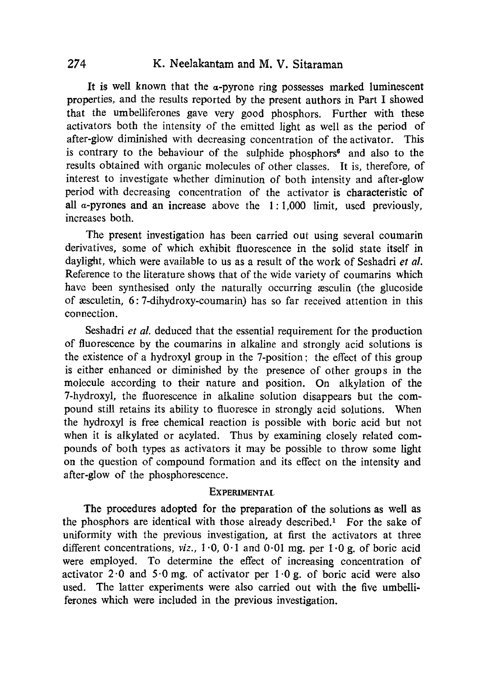## **274 K. Neelakantam and M. V. Sitaraman**

It is well known that the  $\alpha$ -pyrone ring possesses marked luminescent properties, and the results reported by the present authors in Part I showed that the umbelliferones gave very good phosphors. Further with these activators both the intensity of the emitted light as well as the period of after-glow diminished with decreasing concentration of the activator. This is contrary to the behaviour of the sulphide phosphors<sup>6</sup> and also to the results obtained with organic molecules of other classes. It is, therefore, of interest to investigate whether diminution of both intensity and after-glow period with decreasing concentration of the activator is characteristic of all  $\alpha$ -pyrones and an increase above the 1:1,000 limit, used previously, increases both.

The present investigation has been carried out using several coumarin derivatives, some of which exhibit fluorescence in the solid state itself in daylight, which were available to us as a result of the work of Seshadri *et al.* Reference to the literature shows that of the wide variety of coumarins which have been synthesised only the naturally occurring assculin (the glucoside of aesculetin, 6: 7-dihydroxy-coumarin) has so far received attention in this connection.

Seshadri *et al.* deduced that the essential requirement for the production of fluorescence by the coumarins in alkaline and strongly acid solutions is the existence of a hydroxyl group in the 7-position; the effect of this group is either enhanced or diminished by the presence of other groups in the molecule according to their nature and position. On alkylation of the 7-hydroxyl, the fluorescence in alkaline solution disappears but the compound still retains its ability to fluoresce in strongly acid solutions. When the hydroxyl is free chemical reaction is possible with boric acid but not when it is alkylated or acylated. Thus by examining closely related compounds of both types as activators it may be possible to throw some light on the question of compound formation and its effect on the intensity and after-glow of the phosphorescence.

#### **EXPERIMENTAL.**

The procedures adopted for the preparation of the solutions as well as the phosphors are identical with those already described.' For the sake of uniformity with the previous investigation, at first the activators at three different concentrations, viz.,  $1.0$ ,  $0.1$  and  $0.01$  mg, per  $1.0$  g, of boric acid were employed. To determine the effect of increasing concentration of activator 2.0 and  $5.0$  mg. of activator per  $1.0$  g. of boric acid were also used. The latter experiments were also carried out with the five umbelliferones which were included in the previous investigation.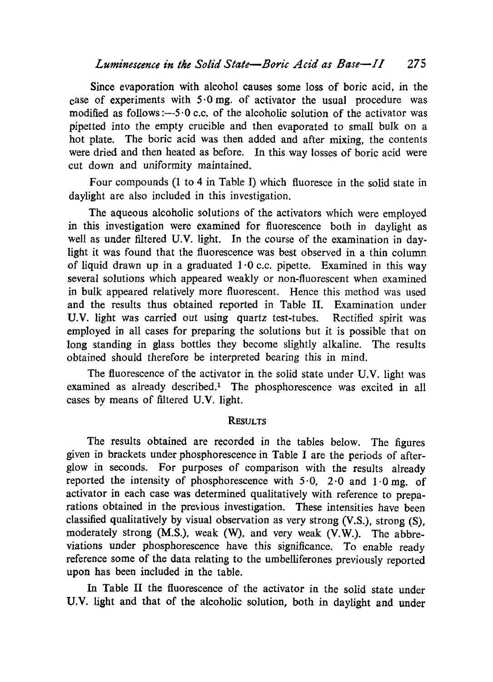Since evaporation with alcohol causes some loss of boric acid, in the case of experiments with  $5.0$  mg. of activator the usual procedure was modified as follows : $-5.0$  c.c. of the alcoholic solution of the activator was pipetted into the empty crucible and then evaporated to small bulk on a hot plate. The boric acid was then added and after mixing, the contents were dried and then heated as before. In this way losses of boric acid were cut down and uniformity maintained.

Four compounds (1 to 4 in Table I) which fluoresce in the solid state in daylight are also included in this investigation.

The aqueous alcoholic solutions of the activators which were employed in this investigation were examined for fluorescence both in daylight as well as under filtered U.V. light. In the course of the examination in daylight it was found that the fluorescence was best observed in a thin column of liquid drawn up in a graduated  $1.0$  c.c. pipette. Examined in this way several solutions which appeared weakly or non-fluorescent when examined in bulk appeared relatively more fluorescent. Hence this method was used and the results thus obtained reported in Table II. Examination under U.V. light was carried out using quartz test-tubes. Rectified spirit was employed in all cases for preparing the solutions but it is possible that on long standing in glass bottles they become slightly alkaline. The results obtained should therefore be interpreted bearing this in mind.

The fluorescence of the activator in the solid state under U.V. light was examined as already described." The phosphorescence was excited in all cases by means of filtered U.V. light.

## **RESULTS**

The results obtained are recorded in the tables below. The figures given in brackets under phosphorescence in Table I are the periods of afterglow in seconds. For purposes of comparison with the results already reported the intensity of phosphorescence with  $5.0$ ,  $2.0$  and  $1.0$  mg. of activator in each case was determined qualitatively with reference to preparations obtained in the previous investigation. These intensities have been classified qualitatively by visual observation as very strong (V.S.), strong (S), moderately strong (M.S.), weak (W), and very weak (V.W.). The abbreviations under phosphorescence have this significance. To enable ready reference some of the data relating to the umbelliferones previously reported upon has been included in the table.

In Table II the fluorescence of the activator in the solid state under U.V. light and that of the alcoholic solution, both in daylight and under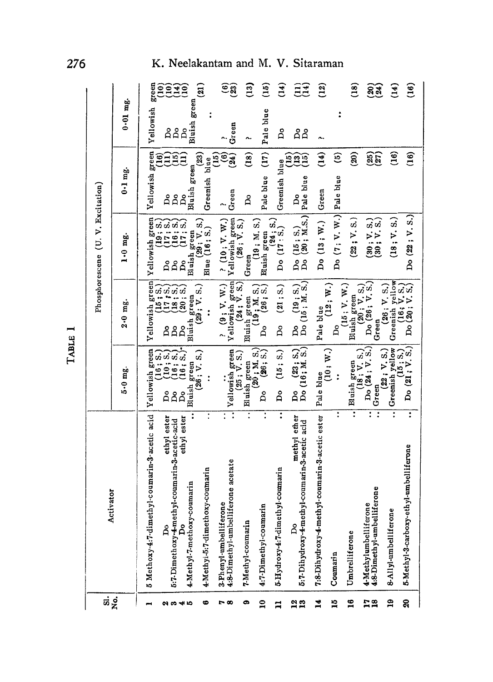|                 |                                                                                                                      | TABLE                                                                                | −                                                                                                                                                                                                                                                                                                                                                                                                                                                         |                                                                                                                                                                   |                                                                       |                                                            |  |
|-----------------|----------------------------------------------------------------------------------------------------------------------|--------------------------------------------------------------------------------------|-----------------------------------------------------------------------------------------------------------------------------------------------------------------------------------------------------------------------------------------------------------------------------------------------------------------------------------------------------------------------------------------------------------------------------------------------------------|-------------------------------------------------------------------------------------------------------------------------------------------------------------------|-----------------------------------------------------------------------|------------------------------------------------------------|--|
| ឆ់ខ្ពុំ         | Activator                                                                                                            |                                                                                      | Phosphorescene                                                                                                                                                                                                                                                                                                                                                                                                                                            | (U. V. Excitation)                                                                                                                                                |                                                                       |                                                            |  |
|                 |                                                                                                                      | 5-0 mg.                                                                              | $2.0$ mg.                                                                                                                                                                                                                                                                                                                                                                                                                                                 | 1.0 mg.                                                                                                                                                           | $0.1$ mg.                                                             | $0.01$ mg.                                                 |  |
| $\sim$          | 5 Methoxy-4:7-dimethyl-coumarin-3-acetic acid                                                                        | <b>Yellowish</b> green                                                               |                                                                                                                                                                                                                                                                                                                                                                                                                                                           |                                                                                                                                                                   | green<br>Vellowish                                                    | green<br>Vellowish                                         |  |
| 23 33 4 30      | ethyl ester<br>ethyl ester<br>5:7-Dimethoxy-4-methyl-coumarin-3-acetic-acid<br>4-Methyl-7-methoxy-coumarin<br>å<br>å | Bluish<br>$\beta$<br>Å<br>Å                                                          | $\begin{tabular}{ c c } \hline Yell, & \hline Yell, & \hline \multicolumn{3}{ c }{\text{P}} \\ \hline \multicolumn{3}{ c }{\text{D}} & \multicolumn{3}{ c }{\text{U5:}}\ \hline \multicolumn{3}{ c }{\text{S.}} \\ \hline \multicolumn{3}{ c }{\text{D}} & \multicolumn{3}{ c }{\text{U7:}}\ \hline \multicolumn{3}{ c }{\text{S.}} \\ \hline \multicolumn{3}{ c }{\text{D}} & \multicolumn{3}{ c }{\text{U7:}}\ \hline \multicolumn{3}{ c }{\$<br>Bluish | $\begin{tabular}{ c c } \hline Yellowish green &\cr 19: S.) &\cr 100&(17: S.) &\cr 100&(16: S.) &\cr 16: S.) &\cr 17: S.) &\cr 17: S.) &\cr \hline \end{tabular}$ | $\mathbf{10}$<br>Ξê<br>Ē<br>å<br>Å<br>Å                               | $\widehat{\Xi}$<br><u>ega</u><br>1939<br>Å<br>Å<br>$\beta$ |  |
| ७               | $\ddot{\cdot}$<br>4-Methyl-5:7-dimethoxy-coumarin                                                                    | (26; V. S.)<br>green<br>$\ddot{\cdot}$                                               | $\frac{\text{sh green}}{\text{(29 ; V. S.)}}$<br>$\ddot{\cdot}$                                                                                                                                                                                                                                                                                                                                                                                           | $(29: V. S.)$<br>Blue $(16: S.)$<br>Bluish green                                                                                                                  | $\left( \frac{23}{2} \right)$<br>Greenish blue<br>Bluish green        | $\widehat{a}$<br>Bluish green                              |  |
| 50              | Ξ<br>4:8-Dimethyl-umbelliferone acetate<br>3-Phenyl-umbelliferone                                                    | $\begin{array}{c}\n\text{Yellowish green} \\ (25 \, ; \, \text{V. S.})\n\end{array}$ | $\begin{array}{c} ? \\ \hline \text{Yellowish green} \\ \hline \text{Yellowish green} \\ \text{(24: V. S.)} \end{array}$                                                                                                                                                                                                                                                                                                                                  | $\frac{1}{2}$ Vellowish green<br>(26; V. S.)<br>$?$ (10; V, W.)                                                                                                   | $(15)$<br>ම<br>(24)<br>Green<br>Λ,                                    | $\widehat{\mathbf{e}}$ ສີ<br>Green<br>r.,                  |  |
| G               | $\overline{\cdot}$<br>7-Methyl-coumarin                                                                              | Bluish green                                                                         | Bluish green                                                                                                                                                                                                                                                                                                                                                                                                                                              | Green                                                                                                                                                             | $\left($ 18)<br>Å                                                     | $\overline{13}$<br>Λ.                                      |  |
| $\mathbf{a}$    | 4:7-Dimethyl-coumarin                                                                                                | $\frac{(20 \, ; \, M. \, S.)}{(26 \, ; \, S.)}$<br>å                                 | (19: M.S.)<br>(26; S.)<br>Δo                                                                                                                                                                                                                                                                                                                                                                                                                              | (19; M, S.)<br>Bluish green                                                                                                                                       | $\left(17\right)$<br>Pale blue                                        | $\mathbf{g}$<br>Pale blue                                  |  |
| $\Xi$           | 5-Hydroxy-4:7-dimethyl-coumarin                                                                                      | (15; S.)<br>Å                                                                        | (21; S.)<br>Å                                                                                                                                                                                                                                                                                                                                                                                                                                             | $D_0$ $(17:5.)$<br>$D_0$ $(17:5.)$                                                                                                                                | Greenish blue                                                         | $\mathbf{f}(t)$<br>Å                                       |  |
| $\frac{2}{13}$  | methyl ether<br>5:7-Dihydroxy-4-methyl-coumarin-3-acetic acid<br>Å                                                   | Do $(23; S.)$<br>Do $(16; M, S.)$                                                    | $\begin{bmatrix} 19; 5. \\ 16, 16, 3. \end{bmatrix}$                                                                                                                                                                                                                                                                                                                                                                                                      | $\begin{bmatrix} 15 & S_1 \ 20 & M.S. \end{bmatrix}$                                                                                                              | $\overline{15}$<br>EE<br>CE<br>Pale blue<br>$\mathsf{p}$              | $\widehat{\Xi}$<br>$\mathsf{a}$<br>Å                       |  |
| 14              | 7:8-Dihydroxy-4-methyl-coumarin-3-acetic ester                                                                       | $(10; \mathrm{\ W.})$<br>Pale blue                                                   | Pale blue                                                                                                                                                                                                                                                                                                                                                                                                                                                 | Do (13; W.)                                                                                                                                                       | $\left( \begin{smallmatrix} 4 \ 1 \end{smallmatrix} \right)$<br>Green | $\widetilde{\mathbf{S}}$                                   |  |
| $\frac{15}{10}$ | Coumarin                                                                                                             | $\ddot{\cdot}$                                                                       | (12; W.)<br>Å                                                                                                                                                                                                                                                                                                                                                                                                                                             | Do $(7:V. W.)$                                                                                                                                                    | ම<br>Pale blue                                                        | $\ddot{\cdot}$                                             |  |
| 16              | τ<br>Umbrelliferone                                                                                                  | σĴ<br>Bluish green<br>(18; V,                                                        | (15:V. W.<br>Bluish green                                                                                                                                                                                                                                                                                                                                                                                                                                 | (22; V. S.)                                                                                                                                                       | <u>ම්</u>                                                             | $\Xi$                                                      |  |
| $\frac{12}{18}$ | ፣<br>$\ddot{\cdot}$<br>4:8-Dimethyl-umbelliferone<br>4-Methylumbelliferone                                           | Do (24; V. S.<br>Green                                                               | Do (26; V.S.)<br>(20; V. S.<br>Green                                                                                                                                                                                                                                                                                                                                                                                                                      | $(30; V. S.)$<br>$(30; V. S.)$                                                                                                                                    | $\widetilde{35}$                                                      | $\widetilde{83}$                                           |  |
| $\mathbf{a}$    | $\overline{\cdot}$<br>8-Allyl-umbelliferone                                                                          | Greenish yellow<br>(22; V, S.)                                                       | Greenish yellow<br>(26; V, S.)                                                                                                                                                                                                                                                                                                                                                                                                                            | (18; V, S.)                                                                                                                                                       | $\binom{16}{1}$                                                       | $\left(14\right)$                                          |  |
| ୡ               | $\overline{\cdot}$<br>5-Methyl-3-carboxy-ethyl-umbelliferone                                                         | $\begin{pmatrix} 15 & S_1 \\ 21 & V_1 & S_2 \end{pmatrix}$                           | $(16, V, S,$<br>Do $(20, V, S,$                                                                                                                                                                                                                                                                                                                                                                                                                           | Do (22; V.S.)                                                                                                                                                     | (16)                                                                  | $\mathfrak{g}$                                             |  |

# 276 K. Neelakantam and M. V. Sitaraman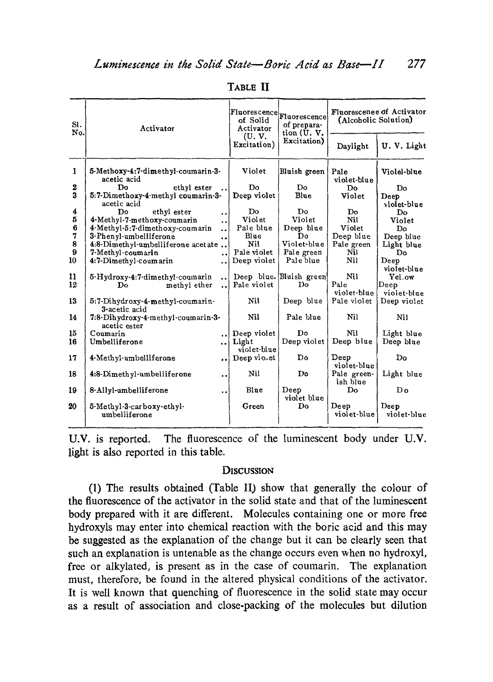| SI.<br>No.     | Activator                                                                   | of Solid<br>Activator<br>(U, V,<br>Excitation) | Fluorescence <br> Fluorescence <br>of prepara-<br>tion (U.V.<br>Excitation) | Fluorescenee of Activator<br>(Alcoholic Solution) |                     |
|----------------|-----------------------------------------------------------------------------|------------------------------------------------|-----------------------------------------------------------------------------|---------------------------------------------------|---------------------|
|                |                                                                             |                                                |                                                                             | Daylight                                          | U.V. Light          |
| $\mathbf{I}$   | 5-Methoxy-4:7-dimethyl-coumarin-3-<br>acetic acid                           | Violet                                         | Bluish green                                                                | Pale<br>violet-blue                               | Violel-blue         |
| 2              | Do<br>ethyl ester                                                           | Do                                             | Do.                                                                         | Do.                                               | Do                  |
| 3              | 5:7-Dimethoxy-4-methyl coumarin-3-                                          | Deep violet                                    | Blue                                                                        | Violet                                            | Deep                |
|                | acetic acid                                                                 |                                                |                                                                             |                                                   | violet-blue         |
| 4              | Do.<br>ethyl ester<br>$\ddot{\phantom{0}}$                                  | $\mathbf{Do}$                                  | Do.                                                                         | Do                                                | Do                  |
| 5              | 4-Methyl-7-methoxy-coumarin<br>$\ddot{\phantom{a}}$                         | Violet                                         | Violet                                                                      | Ni1                                               | Violet              |
| $6\phantom{1}$ | 4-Methyl-5:7-dimethoxy-coumarin<br>                                         | Pale blue                                      | Deep blue                                                                   | Violet                                            | Do                  |
| 7              | 3-Phenyl-umbelliferone<br>                                                  | Blue                                           | D٥                                                                          | Deep blue                                         | Deep blue           |
| 8              | 4:8-Dimethyl-umbelliferone acetate                                          | Ni!                                            | Violet-blue                                                                 | Pale green                                        | Light blue          |
| 9              | 7-Methyl-coumarin<br>                                                       | Pale violet                                    | Pale green                                                                  | Nil                                               | Do                  |
| 10             | 4:7-Dimethyl-coumarin<br>                                                   | Deep violet                                    | Pale blue                                                                   | Nil                                               | Deep                |
|                |                                                                             |                                                |                                                                             |                                                   | violet-blue         |
| 11             | 5-Hydroxy-4:7-dimethyl-coumarin<br>$\ddot{\phantom{a}}$                     |                                                | Deep blue. Bluish green                                                     | Nil                                               | Yel.ow              |
| 12             | methyl ether<br>Do<br>$\ddot{\phantom{a}}$                                  | Pale violet                                    | D <sub>o</sub>                                                              | Pale                                              | Deep                |
|                |                                                                             |                                                |                                                                             | violet-blue                                       | violet-blue         |
| 13             | 5:7-Dihydroxy-4-methyl-coumarin-                                            | Nil                                            | Deep blue                                                                   | Pale violet                                       | Deep violet         |
|                | 3-acetic acid                                                               |                                                |                                                                             |                                                   |                     |
| 14             | 7:8-Dihydroxy-4-methyl-coumarin-3-<br>acetic ester                          | Nil                                            | Pale blue                                                                   | Nil                                               | Nil                 |
| 15             | Coumarin<br>$\ddot{\phantom{a}}$                                            | Deep violet                                    | Do                                                                          | Nil                                               | Light blue          |
| 16             | Umbelliferone<br>$\ddot{\phantom{0}}$                                       | Light                                          | Deep violet                                                                 | Deep blue                                         | Deep blue           |
|                |                                                                             | violet-blue                                    |                                                                             |                                                   |                     |
| 17             | 4-Methyl-umbelliferone<br>$\ddot{\phantom{a}}$                              | Deep violet                                    | Do                                                                          | Deep<br>violet-blue                               | Do                  |
| 18             | 4:8-Dimethyl-umbelliferone<br>$\bullet\hspace{0.1cm} \bullet\hspace{0.1cm}$ | Nil                                            | Do.                                                                         | Pale green-<br>ish blue                           | Light blue          |
| 19             | 8-Allyl-umbelliferone<br>$\ddot{\phantom{0}}$                               | Blue                                           | Deep<br>violet blue                                                         | $\mathbf{Do}$                                     | $D_0$               |
| 20             | 5-Methyl-3-carboxy-ethyl-<br>umbelliferone                                  | Green                                          | <b>Do</b>                                                                   | Deep<br>violet-blue                               | Deep<br>violet-blue |

TABLE II

U.V. is reported. The fluorescence of the luminescent body under U.V. light is also reported in this table.

## **DISCUSSION**

(1) The results obtained (Table II) show that generally the colour of the fluorescence of the activator in the solid state and that of the luminescent body prepared with it are different. Molecules containing one or more free hydroxyls may enter into chemical reaction with the boric acid and this may be suggested as the explanation of the change but it can be clearly seen that such an explanation is untenable as the change occurs even when no hydroxyl, free or alkylated, is present as in the case of coumarin. The explanation must, therefore, be found in the altered physical conditions of the activator. It is well known that quenching of fluorescence in the solid state may occur as a result of association and close-packing of the molecules but dilution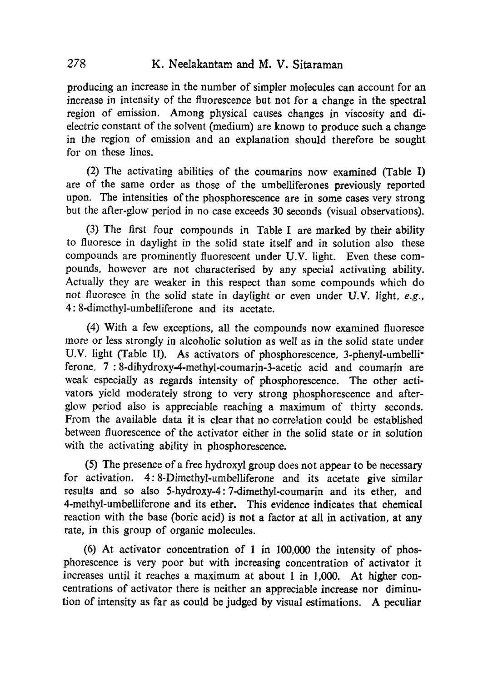producing an increase in the number of simpler molecules can account for an increase in intensity of the fluorescence but not for a change in the spectral region of emission. Among physical causes changes in viscosity and dielectric constant of the solvent (medium) are known to produce such a change in the region of emission and an explanation should therefore be sought for on these lines.

(2) The activating abilities of the coumarins now examined (Table I) are of the same order as those of the umbelliferones previously reported upon. The intensities of the phosphorescence are in some cases very strong but the after-glow period in no case exceeds 30 seconds (visual observations).

(3)The first four compounds in Table I are marked by their ability to fluoresce in daylight in the solid state itself and in solution also these compounds are prominently fluorescent under U.V. light. Even these compounds, however are not characterised by any special activating ability. Actually they are weaker in this respect than some compounds which do not fluoresce in the solid state in daylight or even under U.V. light, e.g., 4: 8-dimethyl-umbelliferone and its acetate.

(4) With a few exceptions, all the compounds now examined fluoresce more or less strongly in alcoholic solution as well as in the solid state under U.V. light (Table II). As activators of phosphorescence, 3-phenyl-umbelliferone, 7 :8-dihydroxy-4-methyl-coumarin-3-acetic acid and coumarin are weak especially as regards intensity of phosphorescence. The other activators yield moderately strong to very strong phosphorescence and afterglow period also is appreciable reaching a maximum of thirty seconds. From the available data it is clear that no correlation could be established between fluorescence of the activator either in the solid state or in solution with the activating ability in phosphorescence.

(5)The presence of a free hydroxyl group does not appear to be necessary for activation. 4: 8-Dimethyl-umbelliferone and its acetate give similar results and so also 5-hydroxy-4: 7-dimethyl-coumarin and its ether, and 4-methyl-umbelliferone and its ether. This evidence indicates that chemical reaction with the base (boric acid) is not a factor at all in activation, at any rate, in this group of organic molecules.

(6) At activator concentration of 1 in 100,000 the intensity of phosphorescence is very poor but with increasing concentration of activator it increases until it reaches a maximum at about 1 in 1,000. At higher concentrations of activator there is neither an appreciable increase nor diminution of intensity as far as could be judged by visual estimations. A peculiar